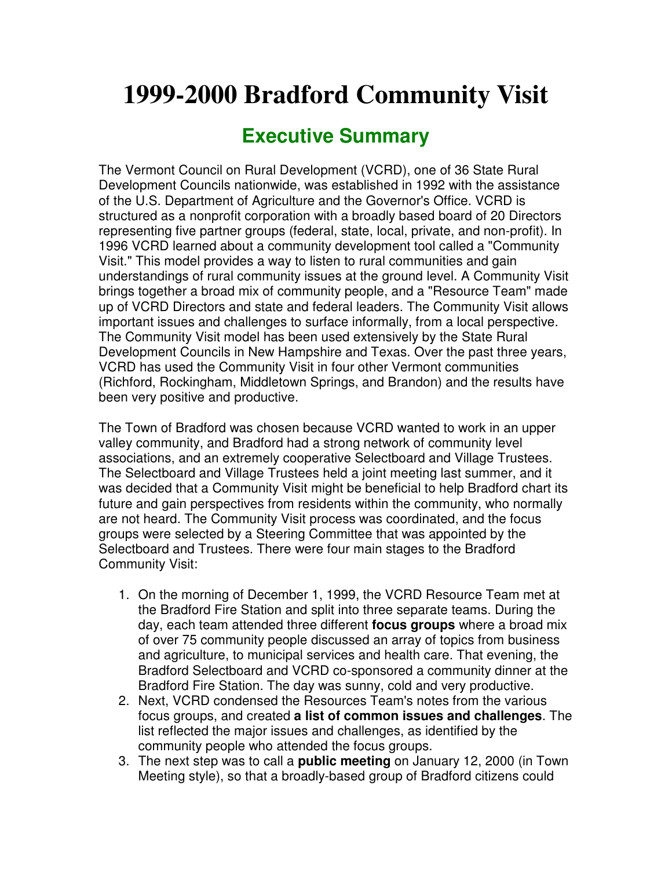## **1999-2000 Bradford Community Visit**

## **Executive Summary**

The Vermont Council on Rural Development (VCRD), one of 36 State Rural Development Councils nationwide, was established in 1992 with the assistance of the U.S. Department of Agriculture and the Governor's Office. VCRD is structured as a nonprofit corporation with a broadly based board of 20 Directors representing five partner groups (federal, state, local, private, and non-profit). In 1996 VCRD learned about a community development tool called a "Community Visit." This model provides a way to listen to rural communities and gain understandings of rural community issues at the ground level. A Community Visit brings together a broad mix of community people, and a "Resource Team" made up of VCRD Directors and state and federal leaders. The Community Visit allows important issues and challenges to surface informally, from a local perspective. The Community Visit model has been used extensively by the State Rural Development Councils in New Hampshire and Texas. Over the past three years, VCRD has used the Community Visit in four other Vermont communities (Richford, Rockingham, Middletown Springs, and Brandon) and the results have been very positive and productive.

The Town of Bradford was chosen because VCRD wanted to work in an upper valley community, and Bradford had a strong network of community level associations, and an extremely cooperative Selectboard and Village Trustees. The Selectboard and Village Trustees held a joint meeting last summer, and it was decided that a Community Visit might be beneficial to help Bradford chart its future and gain perspectives from residents within the community, who normally are not heard. The Community Visit process was coordinated, and the focus groups were selected by a Steering Committee that was appointed by the Selectboard and Trustees. There were four main stages to the Bradford Community Visit:

- 1. On the morning of December 1, 1999, the VCRD Resource Team met at the Bradford Fire Station and split into three separate teams. During the day, each team attended three different **focus groups** where a broad mix of over 75 community people discussed an array of topics from business and agriculture, to municipal services and health care. That evening, the Bradford Selectboard and VCRD co-sponsored a community dinner at the Bradford Fire Station. The day was sunny, cold and very productive.
- 2. Next, VCRD condensed the Resources Team's notes from the various focus groups, and created **a list of common issues and challenges**. The list reflected the major issues and challenges, as identified by the community people who attended the focus groups.
- 3. The next step was to call a **public meeting** on January 12, 2000 (in Town Meeting style), so that a broadly-based group of Bradford citizens could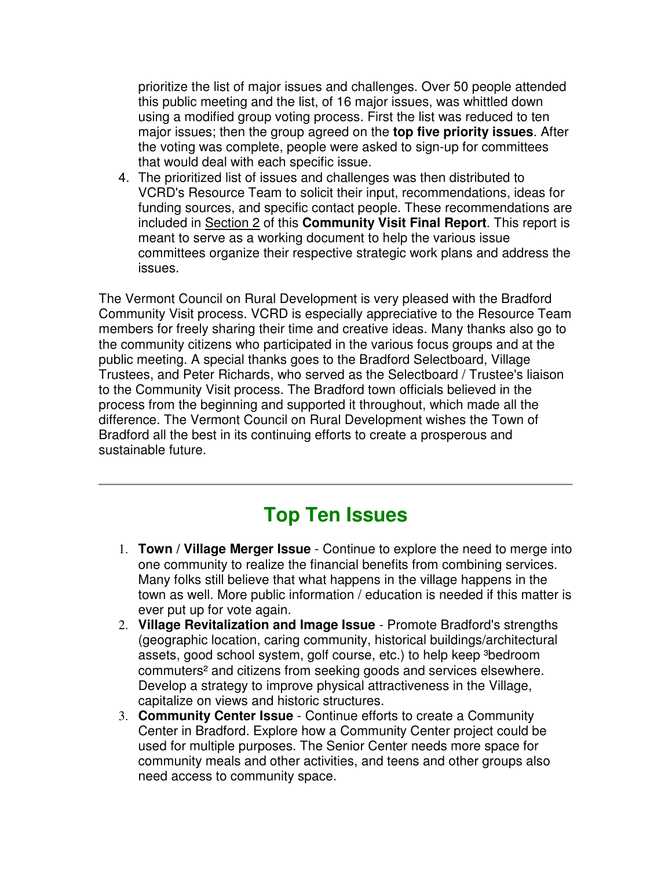prioritize the list of major issues and challenges. Over 50 people attended this public meeting and the list, of 16 major issues, was whittled down using a modified group voting process. First the list was reduced to ten major issues; then the group agreed on the **top five priority issues**. After the voting was complete, people were asked to sign-up for committees that would deal with each specific issue.

4. The prioritized list of issues and challenges was then distributed to VCRD's Resource Team to solicit their input, recommendations, ideas for funding sources, and specific contact people. These recommendations are included in Section 2 of this **Community Visit Final Report**. This report is meant to serve as a working document to help the various issue committees organize their respective strategic work plans and address the issues.

The Vermont Council on Rural Development is very pleased with the Bradford Community Visit process. VCRD is especially appreciative to the Resource Team members for freely sharing their time and creative ideas. Many thanks also go to the community citizens who participated in the various focus groups and at the public meeting. A special thanks goes to the Bradford Selectboard, Village Trustees, and Peter Richards, who served as the Selectboard / Trustee's liaison to the Community Visit process. The Bradford town officials believed in the process from the beginning and supported it throughout, which made all the difference. The Vermont Council on Rural Development wishes the Town of Bradford all the best in its continuing efforts to create a prosperous and sustainable future.

## **Top Ten Issues**

- 1. **Town / Village Merger Issue** Continue to explore the need to merge into one community to realize the financial benefits from combining services. Many folks still believe that what happens in the village happens in the town as well. More public information / education is needed if this matter is ever put up for vote again.
- 2. **Village Revitalization and Image Issue** Promote Bradford's strengths (geographic location, caring community, historical buildings/architectural assets, good school system, golf course, etc.) to help keep <sup>3</sup>bedroom commuters² and citizens from seeking goods and services elsewhere. Develop a strategy to improve physical attractiveness in the Village, capitalize on views and historic structures.
- 3. **Community Center Issue** Continue efforts to create a Community Center in Bradford. Explore how a Community Center project could be used for multiple purposes. The Senior Center needs more space for community meals and other activities, and teens and other groups also need access to community space.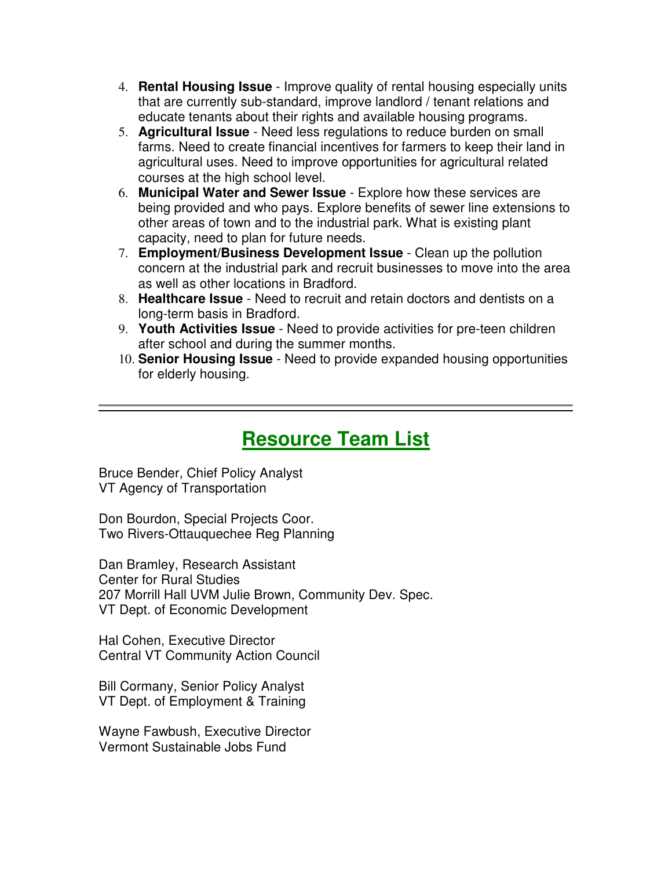- 4. **Rental Housing Issue** Improve quality of rental housing especially units that are currently sub-standard, improve landlord / tenant relations and educate tenants about their rights and available housing programs.
- 5. **Agricultural Issue** Need less regulations to reduce burden on small farms. Need to create financial incentives for farmers to keep their land in agricultural uses. Need to improve opportunities for agricultural related courses at the high school level.
- 6. **Municipal Water and Sewer Issue** Explore how these services are being provided and who pays. Explore benefits of sewer line extensions to other areas of town and to the industrial park. What is existing plant capacity, need to plan for future needs.
- 7. **Employment/Business Development Issue** Clean up the pollution concern at the industrial park and recruit businesses to move into the area as well as other locations in Bradford.
- 8. **Healthcare Issue** Need to recruit and retain doctors and dentists on a long-term basis in Bradford.
- 9. **Youth Activities Issue** Need to provide activities for pre-teen children after school and during the summer months.
- 10. **Senior Housing Issue** Need to provide expanded housing opportunities for elderly housing.

## **Resource Team List**

Bruce Bender, Chief Policy Analyst VT Agency of Transportation

Don Bourdon, Special Projects Coor. Two Rivers-Ottauquechee Reg Planning

Dan Bramley, Research Assistant Center for Rural Studies 207 Morrill Hall UVM Julie Brown, Community Dev. Spec. VT Dept. of Economic Development

Hal Cohen, Executive Director Central VT Community Action Council

Bill Cormany, Senior Policy Analyst VT Dept. of Employment & Training

Wayne Fawbush, Executive Director Vermont Sustainable Jobs Fund